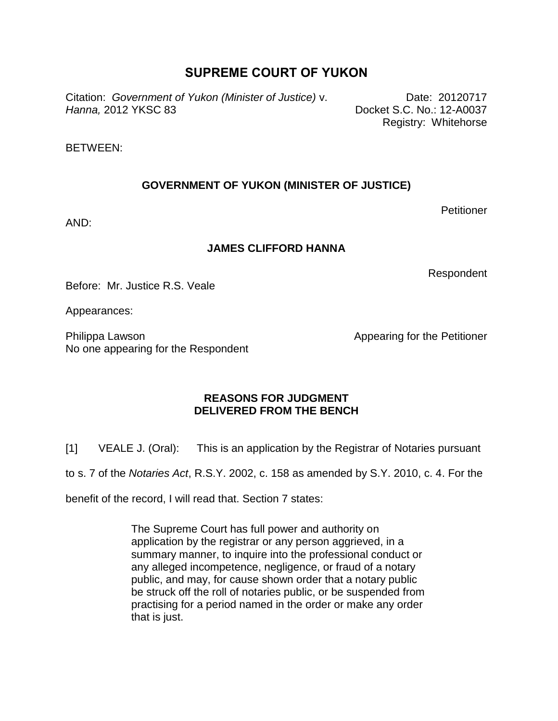# **SUPREME COURT OF YUKON**

Citation: *Government of Yukon (Minister of Justice)* v. *Hanna,* 2012 YKSC 83

Date: 20120717 Docket S.C. No.: 12-A0037 Registry: Whitehorse

#### BETWEEN:

# **GOVERNMENT OF YUKON (MINISTER OF JUSTICE)**

**Petitioner** 

AND:

## **JAMES CLIFFORD HANNA**

Respondent

Before: Mr. Justice R.S. Veale

Appearances:

Philippa Lawson No one appearing for the Respondent Appearing for the Petitioner

## **REASONS FOR JUDGMENT DELIVERED FROM THE BENCH**

[1] VEALE J. (Oral): This is an application by the Registrar of Notaries pursuant

to s. 7 of the *Notaries Act*, R.S.Y. 2002, c. 158 as amended by S.Y. 2010, c. 4. For the

benefit of the record, I will read that. Section 7 states:

The Supreme Court has full power and authority on application by the registrar or any person aggrieved, in a summary manner, to inquire into the professional conduct or any alleged incompetence, negligence, or fraud of a notary public, and may, for cause shown order that a notary public be struck off the roll of notaries public, or be suspended from practising for a period named in the order or make any order that is just.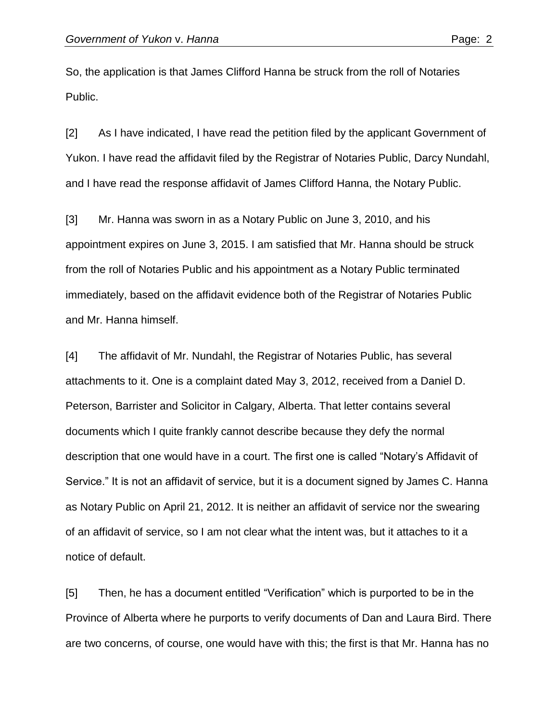So, the application is that James Clifford Hanna be struck from the roll of Notaries Public.

[2] As I have indicated, I have read the petition filed by the applicant Government of Yukon. I have read the affidavit filed by the Registrar of Notaries Public, Darcy Nundahl, and I have read the response affidavit of James Clifford Hanna, the Notary Public.

[3] Mr. Hanna was sworn in as a Notary Public on June 3, 2010, and his appointment expires on June 3, 2015. I am satisfied that Mr. Hanna should be struck from the roll of Notaries Public and his appointment as a Notary Public terminated immediately, based on the affidavit evidence both of the Registrar of Notaries Public and Mr. Hanna himself.

[4] The affidavit of Mr. Nundahl, the Registrar of Notaries Public, has several attachments to it. One is a complaint dated May 3, 2012, received from a Daniel D. Peterson, Barrister and Solicitor in Calgary, Alberta. That letter contains several documents which I quite frankly cannot describe because they defy the normal description that one would have in a court. The first one is called "Notary's Affidavit of Service." It is not an affidavit of service, but it is a document signed by James C. Hanna as Notary Public on April 21, 2012. It is neither an affidavit of service nor the swearing of an affidavit of service, so I am not clear what the intent was, but it attaches to it a notice of default.

[5] Then, he has a document entitled "Verification" which is purported to be in the Province of Alberta where he purports to verify documents of Dan and Laura Bird. There are two concerns, of course, one would have with this; the first is that Mr. Hanna has no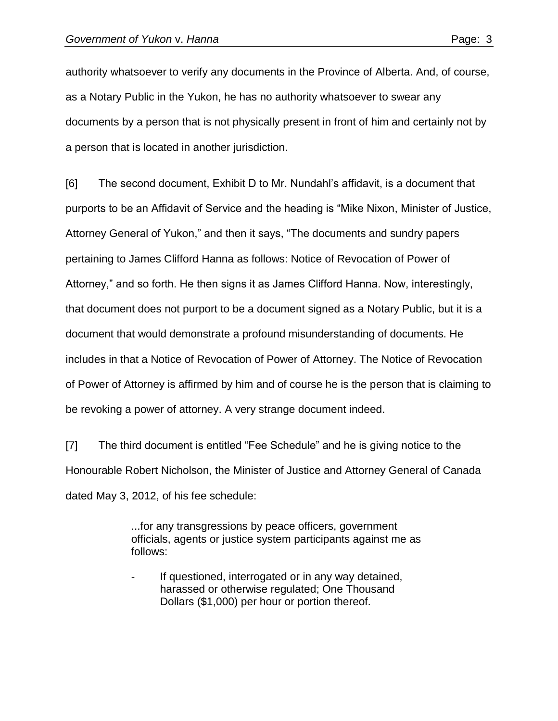authority whatsoever to verify any documents in the Province of Alberta. And, of course, as a Notary Public in the Yukon, he has no authority whatsoever to swear any documents by a person that is not physically present in front of him and certainly not by a person that is located in another jurisdiction.

[6] The second document, Exhibit D to Mr. Nundahl's affidavit, is a document that purports to be an Affidavit of Service and the heading is "Mike Nixon, Minister of Justice, Attorney General of Yukon," and then it says, "The documents and sundry papers pertaining to James Clifford Hanna as follows: Notice of Revocation of Power of Attorney," and so forth. He then signs it as James Clifford Hanna. Now, interestingly, that document does not purport to be a document signed as a Notary Public, but it is a document that would demonstrate a profound misunderstanding of documents. He includes in that a Notice of Revocation of Power of Attorney. The Notice of Revocation of Power of Attorney is affirmed by him and of course he is the person that is claiming to be revoking a power of attorney. A very strange document indeed.

[7] The third document is entitled "Fee Schedule" and he is giving notice to the Honourable Robert Nicholson, the Minister of Justice and Attorney General of Canada dated May 3, 2012, of his fee schedule:

> ...for any transgressions by peace officers, government officials, agents or justice system participants against me as follows:

If questioned, interrogated or in any way detained, harassed or otherwise regulated; One Thousand Dollars (\$1,000) per hour or portion thereof.